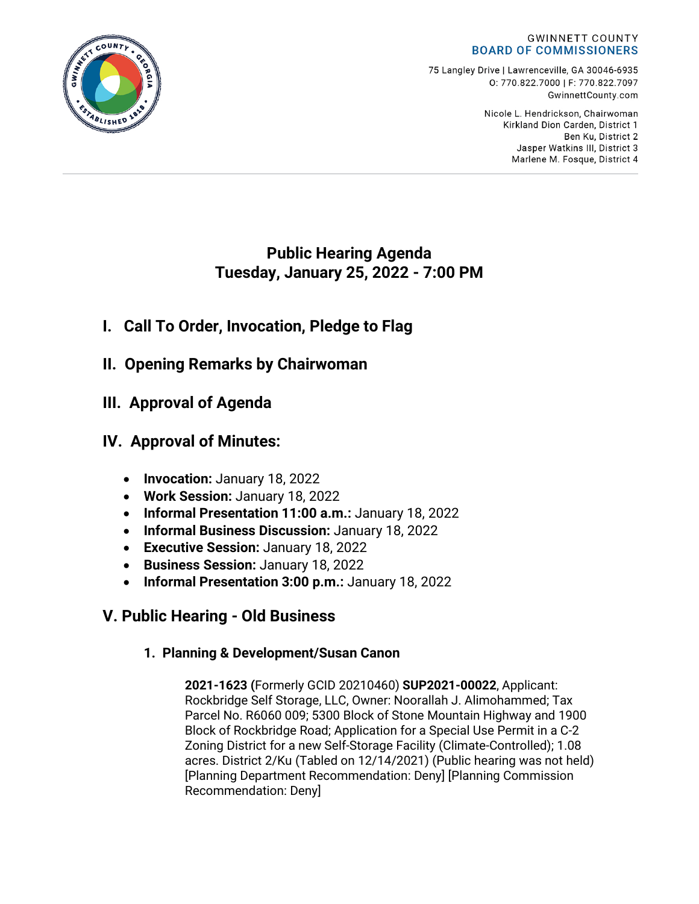#### **GWINNETT COUNTY BOARD OF COMMISSIONERS**

75 Langley Drive | Lawrenceville, GA 30046-6935 0:770.822.7000 | F: 770.822.7097 GwinnettCounty.com

> Nicole L. Hendrickson, Chairwoman Kirkland Dion Carden, District 1 Ben Ku. District 2 Jasper Watkins III, District 3 Marlene M. Fosque, District 4

# **Public Hearing Agenda Tuesday, January 25, 2022 - 7:00 PM**

# **I. Call To Order, Invocation, Pledge to Flag**

- **II. Opening Remarks by Chairwoman**
- **III. Approval of Agenda**

# **IV. Approval of Minutes:**

- **Invocation:** January 18, 2022
- **Work Session:** January 18, 2022
- **Informal Presentation 11:00 a.m.:** January 18, 2022
- **Informal Business Discussion:** January 18, 2022
- **Executive Session:** January 18, 2022
- **Business Session:** January 18, 2022
- **Informal Presentation 3:00 p.m.:** January 18, 2022

# **V. Public Hearing - Old Business**

# **1. Planning & Development/Susan Canon**

**2021-1623 (**Formerly GCID 20210460) **SUP2021-00022**, Applicant: Rockbridge Self Storage, LLC, Owner: Noorallah J. Alimohammed; Tax Parcel No. R6060 009; 5300 Block of Stone Mountain Highway and 1900 Block of Rockbridge Road; Application for a Special Use Permit in a C-2 Zoning District for a new Self-Storage Facility (Climate-Controlled); 1.08 acres. District 2/Ku (Tabled on 12/14/2021) (Public hearing was not held) [Planning Department Recommendation: Deny] [Planning Commission Recommendation: Deny]

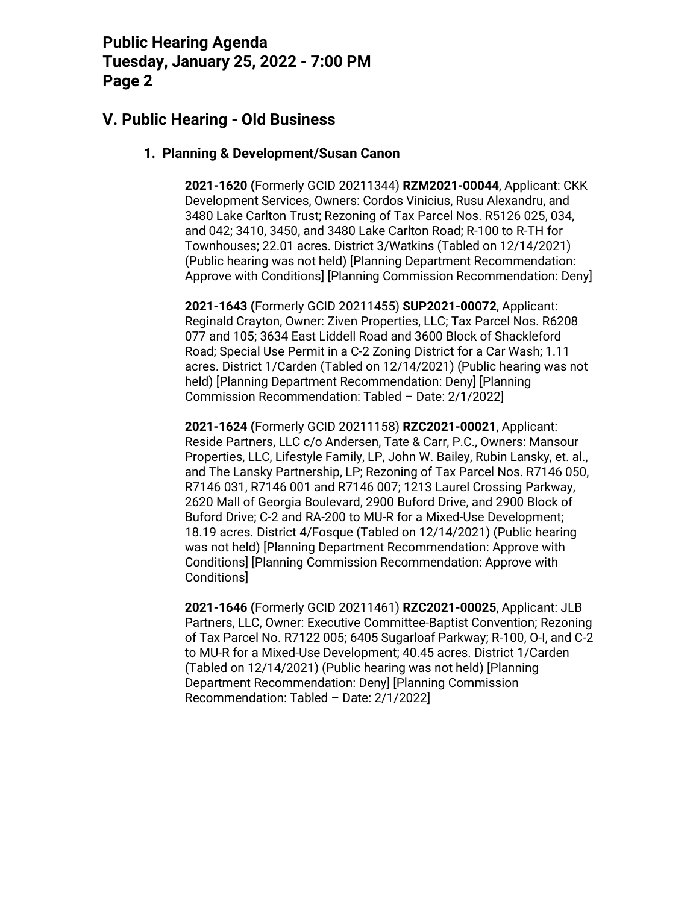### **V. Public Hearing - Old Business**

#### **1. Planning & Development/Susan Canon**

**2021-1620 (**Formerly GCID 20211344) **RZM2021-00044**, Applicant: CKK Development Services, Owners: Cordos Vinicius, Rusu Alexandru, and 3480 Lake Carlton Trust; Rezoning of Tax Parcel Nos. R5126 025, 034, and 042; 3410, 3450, and 3480 Lake Carlton Road; R-100 to R-TH for Townhouses; 22.01 acres. District 3/Watkins (Tabled on 12/14/2021) (Public hearing was not held) [Planning Department Recommendation: Approve with Conditions] [Planning Commission Recommendation: Deny]

**2021-1643 (**Formerly GCID 20211455) **SUP2021-00072**, Applicant: Reginald Crayton, Owner: Ziven Properties, LLC; Tax Parcel Nos. R6208 077 and 105; 3634 East Liddell Road and 3600 Block of Shackleford Road; Special Use Permit in a C-2 Zoning District for a Car Wash; 1.11 acres. District 1/Carden (Tabled on 12/14/2021) (Public hearing was not held) [Planning Department Recommendation: Deny] [Planning Commission Recommendation: Tabled – Date: 2/1/2022]

**2021-1624 (**Formerly GCID 20211158) **RZC2021-00021**, Applicant: Reside Partners, LLC c/o Andersen, Tate & Carr, P.C., Owners: Mansour Properties, LLC, Lifestyle Family, LP, John W. Bailey, Rubin Lansky, et. al., and The Lansky Partnership, LP; Rezoning of Tax Parcel Nos. R7146 050, R7146 031, R7146 001 and R7146 007; 1213 Laurel Crossing Parkway, 2620 Mall of Georgia Boulevard, 2900 Buford Drive, and 2900 Block of Buford Drive; C-2 and RA-200 to MU-R for a Mixed-Use Development; 18.19 acres. District 4/Fosque (Tabled on 12/14/2021) (Public hearing was not held) [Planning Department Recommendation: Approve with Conditions] [Planning Commission Recommendation: Approve with Conditions]

**2021-1646 (**Formerly GCID 20211461) **RZC2021-00025**, Applicant: JLB Partners, LLC, Owner: Executive Committee-Baptist Convention; Rezoning of Tax Parcel No. R7122 005; 6405 Sugarloaf Parkway; R-100, O-I, and C-2 to MU-R for a Mixed-Use Development; 40.45 acres. District 1/Carden (Tabled on 12/14/2021) (Public hearing was not held) [Planning Department Recommendation: Deny] [Planning Commission Recommendation: Tabled – Date: 2/1/2022]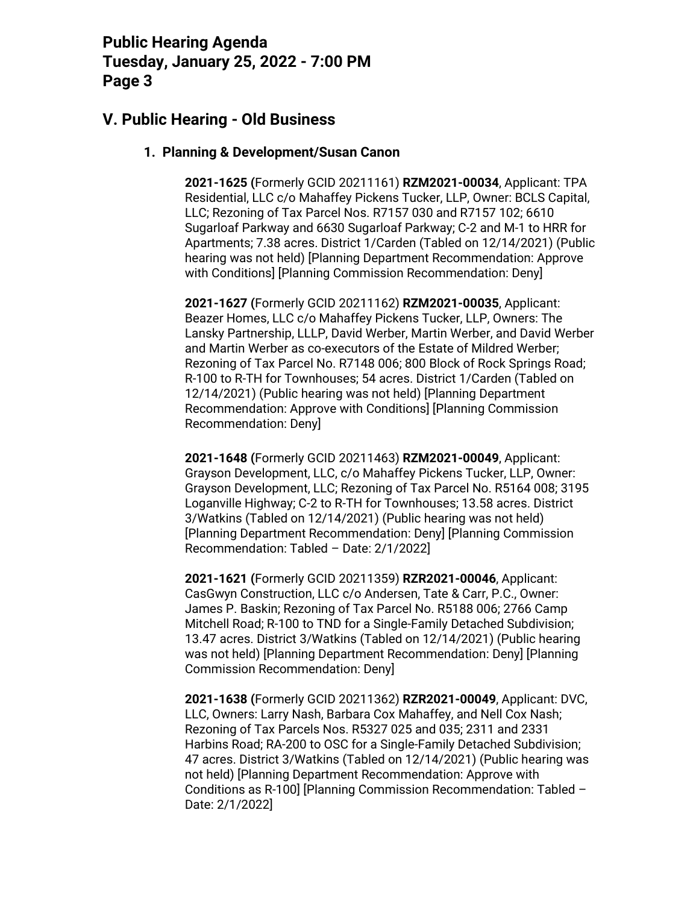### **V. Public Hearing - Old Business**

#### **1. Planning & Development/Susan Canon**

**2021-1625 (**Formerly GCID 20211161) **RZM2021-00034**, Applicant: TPA Residential, LLC c/o Mahaffey Pickens Tucker, LLP, Owner: BCLS Capital, LLC; Rezoning of Tax Parcel Nos. R7157 030 and R7157 102; 6610 Sugarloaf Parkway and 6630 Sugarloaf Parkway; C-2 and M-1 to HRR for Apartments; 7.38 acres. District 1/Carden (Tabled on 12/14/2021) (Public hearing was not held) [Planning Department Recommendation: Approve with Conditions] [Planning Commission Recommendation: Deny]

**2021-1627 (**Formerly GCID 20211162) **RZM2021-00035**, Applicant: Beazer Homes, LLC c/o Mahaffey Pickens Tucker, LLP, Owners: The Lansky Partnership, LLLP, David Werber, Martin Werber, and David Werber and Martin Werber as co-executors of the Estate of Mildred Werber; Rezoning of Tax Parcel No. R7148 006; 800 Block of Rock Springs Road; R-100 to R-TH for Townhouses; 54 acres. District 1/Carden (Tabled on 12/14/2021) (Public hearing was not held) [Planning Department Recommendation: Approve with Conditions] [Planning Commission Recommendation: Deny]

**2021-1648 (**Formerly GCID 20211463) **RZM2021-00049**, Applicant: Grayson Development, LLC, c/o Mahaffey Pickens Tucker, LLP, Owner: Grayson Development, LLC; Rezoning of Tax Parcel No. R5164 008; 3195 Loganville Highway; C-2 to R-TH for Townhouses; 13.58 acres. District 3/Watkins (Tabled on 12/14/2021) (Public hearing was not held) [Planning Department Recommendation: Deny] [Planning Commission Recommendation: Tabled – Date: 2/1/2022]

**2021-1621 (**Formerly GCID 20211359) **RZR2021-00046**, Applicant: CasGwyn Construction, LLC c/o Andersen, Tate & Carr, P.C., Owner: James P. Baskin; Rezoning of Tax Parcel No. R5188 006; 2766 Camp Mitchell Road; R-100 to TND for a Single-Family Detached Subdivision; 13.47 acres. District 3/Watkins (Tabled on 12/14/2021) (Public hearing was not held) [Planning Department Recommendation: Deny] [Planning Commission Recommendation: Deny]

**2021-1638 (**Formerly GCID 20211362) **RZR2021-00049**, Applicant: DVC, LLC, Owners: Larry Nash, Barbara Cox Mahaffey, and Nell Cox Nash; Rezoning of Tax Parcels Nos. R5327 025 and 035; 2311 and 2331 Harbins Road; RA-200 to OSC for a Single-Family Detached Subdivision; 47 acres. District 3/Watkins (Tabled on 12/14/2021) (Public hearing was not held) [Planning Department Recommendation: Approve with Conditions as R-100] [Planning Commission Recommendation: Tabled – Date: 2/1/2022]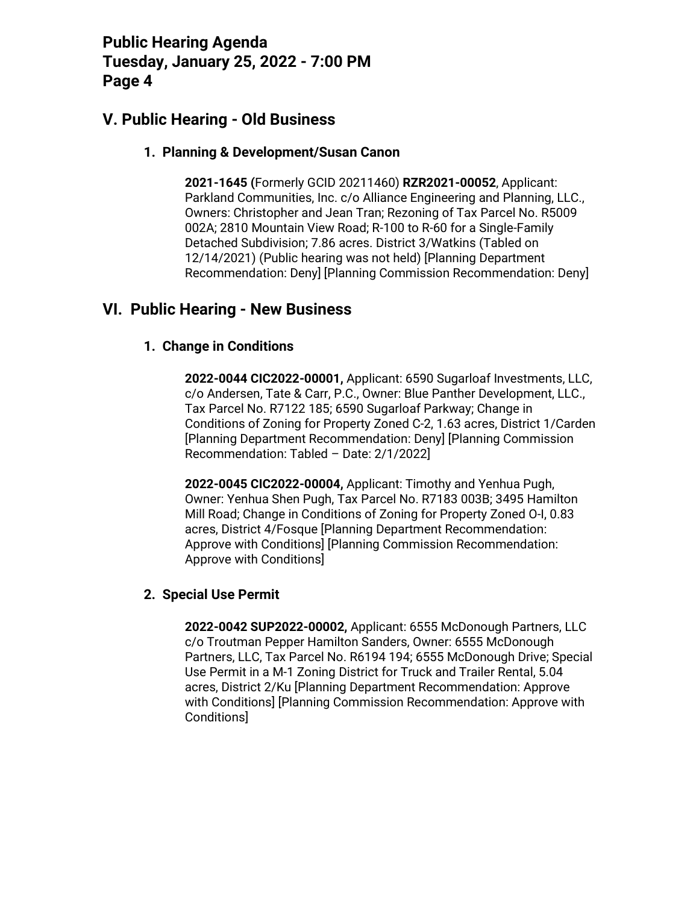### **V. Public Hearing - Old Business**

#### **1. Planning & Development/Susan Canon**

**2021-1645 (**Formerly GCID 20211460) **RZR2021-00052**, Applicant: Parkland Communities, Inc. c/o Alliance Engineering and Planning, LLC., Owners: Christopher and Jean Tran; Rezoning of Tax Parcel No. R5009 002A; 2810 Mountain View Road; R-100 to R-60 for a Single-Family Detached Subdivision; 7.86 acres. District 3/Watkins (Tabled on 12/14/2021) (Public hearing was not held) [Planning Department Recommendation: Deny] [Planning Commission Recommendation: Deny]

### **VI. Public Hearing - New Business**

#### **1. Change in Conditions**

**2022-0044 CIC2022-00001,** Applicant: 6590 Sugarloaf Investments, LLC, c/o Andersen, Tate & Carr, P.C., Owner: Blue Panther Development, LLC., Tax Parcel No. R7122 185; 6590 Sugarloaf Parkway; Change in Conditions of Zoning for Property Zoned C-2, 1.63 acres, District 1/Carden [Planning Department Recommendation: Deny] [Planning Commission Recommendation: Tabled – Date: 2/1/2022]

**2022-0045 CIC2022-00004,** Applicant: Timothy and Yenhua Pugh, Owner: Yenhua Shen Pugh, Tax Parcel No. R7183 003B; 3495 Hamilton Mill Road; Change in Conditions of Zoning for Property Zoned O-I, 0.83 acres, District 4/Fosque [Planning Department Recommendation: Approve with Conditions] [Planning Commission Recommendation: Approve with Conditions]

#### **2. Special Use Permit**

**2022-0042 SUP2022-00002,** Applicant: 6555 McDonough Partners, LLC c/o Troutman Pepper Hamilton Sanders, Owner: 6555 McDonough Partners, LLC, Tax Parcel No. R6194 194; 6555 McDonough Drive; Special Use Permit in a M-1 Zoning District for Truck and Trailer Rental, 5.04 acres, District 2/Ku [Planning Department Recommendation: Approve with Conditions] [Planning Commission Recommendation: Approve with Conditions]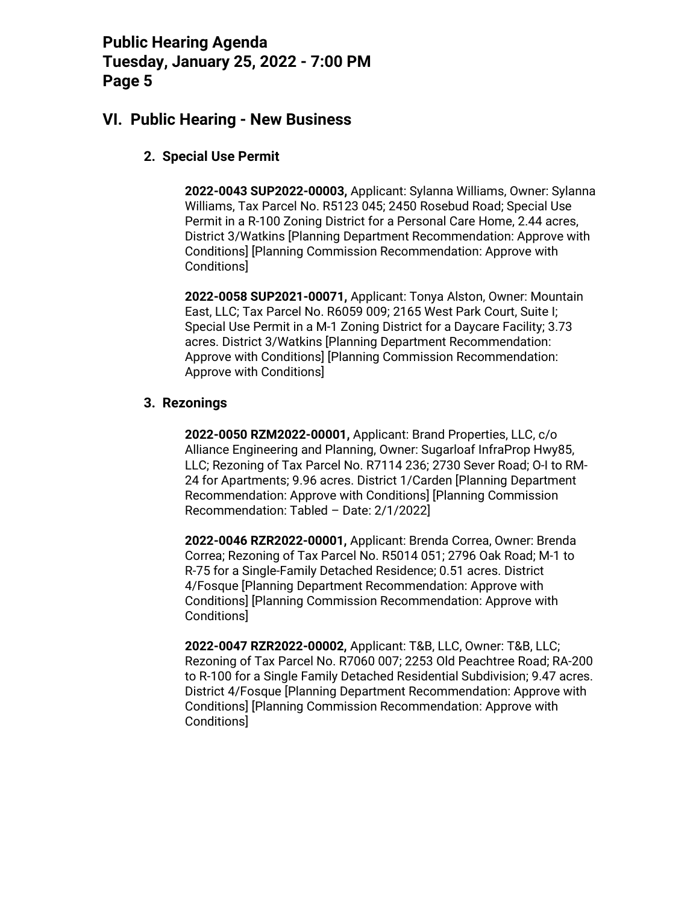### **VI. Public Hearing - New Business**

### **2. Special Use Permit**

**2022-0043 SUP2022-00003,** Applicant: Sylanna Williams, Owner: Sylanna Williams, Tax Parcel No. R5123 045; 2450 Rosebud Road; Special Use Permit in a R-100 Zoning District for a Personal Care Home, 2.44 acres, District 3/Watkins [Planning Department Recommendation: Approve with Conditions] [Planning Commission Recommendation: Approve with Conditions]

**2022-0058 SUP2021-00071,** Applicant: Tonya Alston, Owner: Mountain East, LLC; Tax Parcel No. R6059 009; 2165 West Park Court, Suite I; Special Use Permit in a M-1 Zoning District for a Daycare Facility; 3.73 acres. District 3/Watkins [Planning Department Recommendation: Approve with Conditions] [Planning Commission Recommendation: Approve with Conditions]

#### **3. Rezonings**

**2022-0050 RZM2022-00001,** Applicant: Brand Properties, LLC, c/o Alliance Engineering and Planning, Owner: Sugarloaf InfraProp Hwy85, LLC; Rezoning of Tax Parcel No. R7114 236; 2730 Sever Road; O-I to RM-24 for Apartments; 9.96 acres. District 1/Carden [Planning Department Recommendation: Approve with Conditions] [Planning Commission Recommendation: Tabled – Date: 2/1/2022]

**2022-0046 RZR2022-00001,** Applicant: Brenda Correa, Owner: Brenda Correa; Rezoning of Tax Parcel No. R5014 051; 2796 Oak Road; M-1 to R-75 for a Single-Family Detached Residence; 0.51 acres. District 4/Fosque [Planning Department Recommendation: Approve with Conditions] [Planning Commission Recommendation: Approve with Conditions]

**2022-0047 RZR2022-00002,** Applicant: T&B, LLC, Owner: T&B, LLC; Rezoning of Tax Parcel No. R7060 007; 2253 Old Peachtree Road; RA-200 to R-100 for a Single Family Detached Residential Subdivision; 9.47 acres. District 4/Fosque [Planning Department Recommendation: Approve with Conditions] [Planning Commission Recommendation: Approve with Conditions]